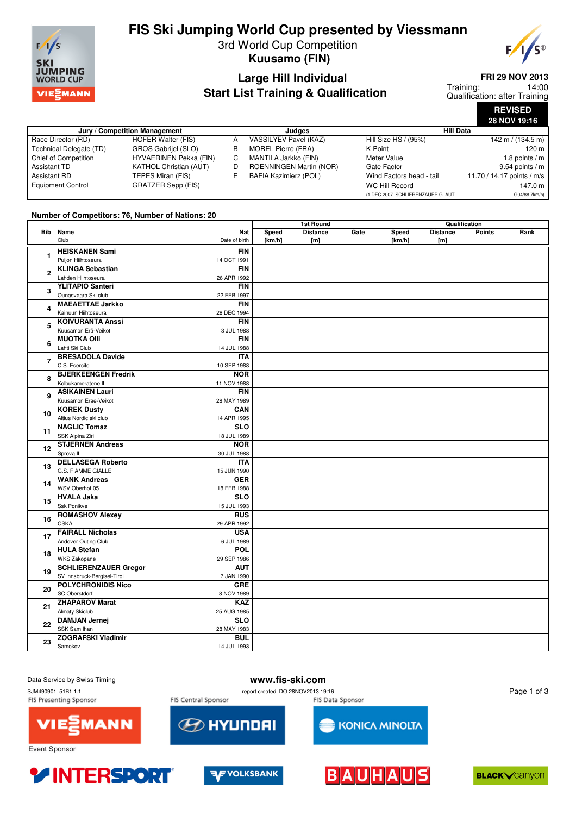

# **FIS Ski Jumping World Cup presented by Viessmann**

3rd World Cup Competition **Kuusamo (FIN)**



### **Large Hill Individual Start List Training & Qualification**

### **FRI 29 NOV 2013**

14:00 Qualification: after Training Training:

> **REVISED 28 NOV 19:16**

| Jury / Competition Management |                               |   | Judaes                       | <b>Hill Data</b>                  |                            |  |
|-------------------------------|-------------------------------|---|------------------------------|-----------------------------------|----------------------------|--|
| Race Director (RD)            | HOFER Walter (FIS)            |   | VASSILYEV Pavel (KAZ)        | Hill Size HS / (95%)              | 142 m / (134.5 m)          |  |
| Technical Delegate (TD)       | GROS Gabrijel (SLO)           |   | MOREL Pierre (FRA)           | K-Point                           | $120 \text{ m}$            |  |
| Chief of Competition          | HYVAERINEN Pekka (FIN)        | C | MANTILA Jarkko (FIN)         | Meter Value                       | 1.8 points $/m$            |  |
| Assistant TD                  | <b>KATHOL Christian (AUT)</b> |   | ROENNINGEN Martin (NOR)      | Gate Factor                       | $9.54$ points / m          |  |
| Assistant RD                  | TEPES Miran (FIS)             |   | <b>BAFIA Kazimierz (POL)</b> | Wind Factors head - tail          | 11.70 / 14.17 points / m/s |  |
| <b>Equipment Control</b>      | GRATZER Sepp (FIS)            |   |                              | WC Hill Record                    | 147.0 m                    |  |
|                               |                               |   |                              | (1 DEC 2007 SCHLIERENZAUER G. AUT | G04/88.7km/h)              |  |

#### **Number of Competitors: 76, Number of Nations: 20**

|    |                                                          |                           | 1st Round |                 | Qualification |        |                 |               |      |
|----|----------------------------------------------------------|---------------------------|-----------|-----------------|---------------|--------|-----------------|---------------|------|
|    | <b>Bib</b> Name                                          | Nat                       | Speed     | <b>Distance</b> | Gate          | Speed  | <b>Distance</b> | <b>Points</b> | Rank |
|    | Club                                                     | Date of birth             | [km/h]    | [m]             |               | [km/h] | [m]             |               |      |
| 1  | <b>HEISKANEN Sami</b>                                    | <b>FIN</b>                |           |                 |               |        |                 |               |      |
|    | Puijon Hiihtoseura                                       | 14 OCT 1991               |           |                 |               |        |                 |               |      |
| 2  | <b>KLINGA Sebastian</b>                                  | <b>FIN</b>                |           |                 |               |        |                 |               |      |
|    | Lahden Hiihtoseura                                       | 26 APR 1992               |           |                 |               |        |                 |               |      |
| 3  | <b>YLITAPIO Santeri</b>                                  | <b>FIN</b>                |           |                 |               |        |                 |               |      |
|    | Ounasvaara Ski club                                      | 22 FEB 1997               |           |                 |               |        |                 |               |      |
| 4  | <b>MAEAETTAE Jarkko</b>                                  | <b>FIN</b>                |           |                 |               |        |                 |               |      |
|    | Kainuun Hiihtoseura                                      | 28 DEC 1994               |           |                 |               |        |                 |               |      |
| 5  | <b>KOIVURANTA Anssi</b>                                  | <b>FIN</b>                |           |                 |               |        |                 |               |      |
|    | Kuusamon Erä-Veikot                                      | 3 JUL 1988                |           |                 |               |        |                 |               |      |
| 6  | <b>MUOTKA OIII</b>                                       | <b>FIN</b>                |           |                 |               |        |                 |               |      |
|    | Lahti Ski Club                                           | 14 JUL 1988               |           |                 |               |        |                 |               |      |
| 7  | <b>BRESADOLA Davide</b>                                  | <b>ITA</b>                |           |                 |               |        |                 |               |      |
|    | C.S. Esercito<br><b>BJERKEENGEN Fredrik</b>              | 10 SEP 1988<br><b>NOR</b> |           |                 |               |        |                 |               |      |
| 8  | Kolbukameratene IL                                       | 11 NOV 1988               |           |                 |               |        |                 |               |      |
|    | <b>ASIKAINEN Lauri</b>                                   | <b>FIN</b>                |           |                 |               |        |                 |               |      |
| 9  | Kuusamon Erae-Veikot                                     | 28 MAY 1989               |           |                 |               |        |                 |               |      |
|    | <b>KOREK Dusty</b>                                       | CAN                       |           |                 |               |        |                 |               |      |
| 10 | Altius Nordic ski club                                   | 14 APR 1995               |           |                 |               |        |                 |               |      |
|    | <b>NAGLIC Tomaz</b>                                      | $\overline{\text{SLO}}$   |           |                 |               |        |                 |               |      |
| 11 | SSK Alpina Ziri                                          | 18 JUL 1989               |           |                 |               |        |                 |               |      |
|    | <b>STJERNEN Andreas</b>                                  | <b>NOR</b>                |           |                 |               |        |                 |               |      |
| 12 | Sprova <sub>IL</sub>                                     | 30 JUL 1988               |           |                 |               |        |                 |               |      |
|    | <b>DELLASEGA Roberto</b>                                 | <b>ITA</b>                |           |                 |               |        |                 |               |      |
| 13 | G.S. FIAMME GIALLE                                       | 15 JUN 1990               |           |                 |               |        |                 |               |      |
| 14 | <b>WANK Andreas</b>                                      | <b>GER</b>                |           |                 |               |        |                 |               |      |
|    | WSV Oberhof 05                                           | 18 FEB 1988               |           |                 |               |        |                 |               |      |
| 15 | <b>HVALA Jaka</b>                                        | SLO                       |           |                 |               |        |                 |               |      |
|    | Ssk Ponikve                                              | 15 JUL 1993               |           |                 |               |        |                 |               |      |
| 16 | <b>ROMASHOV Alexey</b>                                   | <b>RUS</b>                |           |                 |               |        |                 |               |      |
|    | <b>CSKA</b>                                              | 29 APR 1992               |           |                 |               |        |                 |               |      |
| 17 | <b>FAIRALL Nicholas</b>                                  | <b>USA</b>                |           |                 |               |        |                 |               |      |
|    | Andover Outing Club                                      | 6 JUL 1989                |           |                 |               |        |                 |               |      |
| 18 | <b>HULA Stefan</b>                                       | <b>POL</b>                |           |                 |               |        |                 |               |      |
|    | WKS Zakopane                                             | 29 SEP 1986               |           |                 |               |        |                 |               |      |
| 19 | <b>SCHLIERENZAUER Gregor</b>                             | <b>AUT</b>                |           |                 |               |        |                 |               |      |
|    | SV Innsbruck-Bergisel-Tirol<br><b>POLYCHRONIDIS Nico</b> | 7 JAN 1990<br><b>GRE</b>  |           |                 |               |        |                 |               |      |
| 20 | <b>SC Oberstdorf</b>                                     | 8 NOV 1989                |           |                 |               |        |                 |               |      |
|    | <b>ZHAPAROV Marat</b>                                    | <b>KAZ</b>                |           |                 |               |        |                 |               |      |
| 21 | <b>Almaty Skiclub</b>                                    | 25 AUG 1985               |           |                 |               |        |                 |               |      |
|    | <b>DAMJAN Jernej</b>                                     | SLO                       |           |                 |               |        |                 |               |      |
| 22 | SSK Sam Ihan                                             | 28 MAY 1983               |           |                 |               |        |                 |               |      |
|    | <b>ZOGRAFSKI Vladimir</b>                                | <b>BUL</b>                |           |                 |               |        |                 |               |      |
| 23 | Samokov                                                  | 14 JUL 1993               |           |                 |               |        |                 |               |      |
|    |                                                          |                           |           |                 |               |        |                 |               |      |









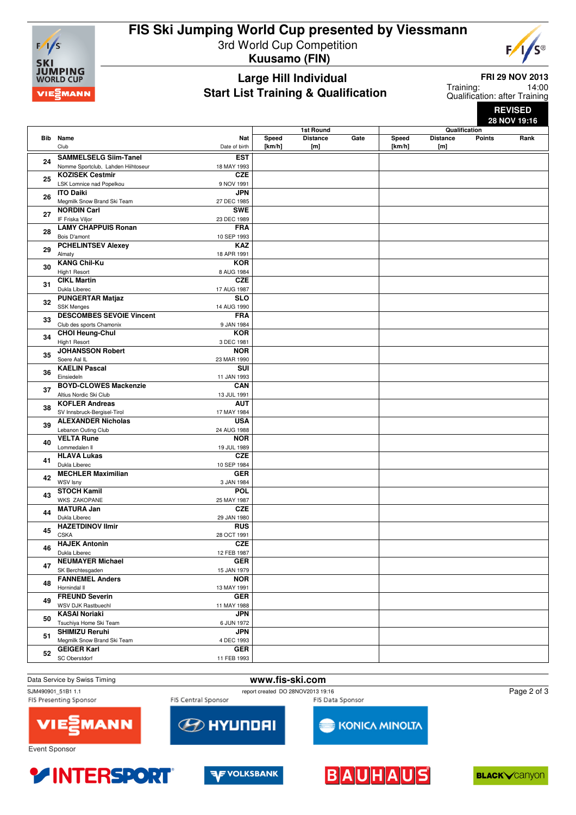

# **FIS Ski Jumping World Cup presented by Viessmann** 3rd World Cup Competition

**Kuusamo (FIN)**



## **Large Hill Individual Start List Training & Qualification**

**FRI 29 NOV 2013**

14:00 Qualification: after Training Training:

> **REVISED 28 NOV 19:16**

|          |                                    |               | 1st Round |                 | Qualification |        |                 |               |      |
|----------|------------------------------------|---------------|-----------|-----------------|---------------|--------|-----------------|---------------|------|
|          | <b>Bib</b> Name                    | Nat           | Speed     | <b>Distance</b> | Gate          | Speed  | <b>Distance</b> | <b>Points</b> | Rank |
|          | Club                               | Date of birth | [km/h]    | [m]             |               | [km/h] | [m]             |               |      |
|          |                                    |               |           |                 |               |        |                 |               |      |
| 24       | <b>SAMMELSELG Siim-Tanel</b>       | <b>EST</b>    |           |                 |               |        |                 |               |      |
|          | Nomme Sportclub, Lahden Hiihtoseur | 18 MAY 1993   |           |                 |               |        |                 |               |      |
|          | <b>KOZISEK Cestmir</b>             | <b>CZE</b>    |           |                 |               |        |                 |               |      |
| 25       | LSK Lomnice nad Popelkou           | 9 NOV 1991    |           |                 |               |        |                 |               |      |
|          |                                    |               |           |                 |               |        |                 |               |      |
| 26       | <b>ITO Daiki</b>                   | <b>JPN</b>    |           |                 |               |        |                 |               |      |
|          | Megmilk Snow Brand Ski Team        | 27 DEC 1985   |           |                 |               |        |                 |               |      |
|          | <b>NORDIN Carl</b>                 | <b>SWE</b>    |           |                 |               |        |                 |               |      |
| 27       | IF Friska Viljor                   | 23 DEC 1989   |           |                 |               |        |                 |               |      |
|          | <b>LAMY CHAPPUIS Ronan</b>         |               |           |                 |               |        |                 |               |      |
| 28       |                                    | <b>FRA</b>    |           |                 |               |        |                 |               |      |
|          | Bois D'amont                       | 10 SEP 1993   |           |                 |               |        |                 |               |      |
|          | <b>PCHELINTSEV Alexey</b>          | <b>KAZ</b>    |           |                 |               |        |                 |               |      |
| 29       | Almaty                             | 18 APR 1991   |           |                 |               |        |                 |               |      |
|          | <b>KANG Chil-Ku</b>                | <b>KOR</b>    |           |                 |               |        |                 |               |      |
| 30       |                                    |               |           |                 |               |        |                 |               |      |
|          | High1 Resort                       | 8 AUG 1984    |           |                 |               |        |                 |               |      |
| 31       | <b>CIKL Martin</b>                 | <b>CZE</b>    |           |                 |               |        |                 |               |      |
|          | Dukla Liberec                      | 17 AUG 1987   |           |                 |               |        |                 |               |      |
|          | <b>PUNGERTAR Matjaz</b>            | <b>SLO</b>    |           |                 |               |        |                 |               |      |
| 32       | SSK Menges                         | 14 AUG 1990   |           |                 |               |        |                 |               |      |
|          | <b>DESCOMBES SEVOIE Vincent</b>    | <b>FRA</b>    |           |                 |               |        |                 |               |      |
| 33       |                                    |               |           |                 |               |        |                 |               |      |
|          | Club des sports Chamonix           | 9 JAN 1984    |           |                 |               |        |                 |               |      |
| 34       | <b>CHOI Heung-Chul</b>             | <b>KOR</b>    |           |                 |               |        |                 |               |      |
|          | High1 Resort                       | 3 DEC 1981    |           |                 |               |        |                 |               |      |
|          | <b>JOHANSSON Robert</b>            | <b>NOR</b>    |           |                 |               |        |                 |               |      |
| 35       | Soere Aal IL                       | 23 MAR 1990   |           |                 |               |        |                 |               |      |
|          |                                    |               |           |                 |               |        |                 |               |      |
| 36       | <b>KAELIN Pascal</b>               | SUI           |           |                 |               |        |                 |               |      |
|          | Einsiedeln                         | 11 JAN 1993   |           |                 |               |        |                 |               |      |
| 37<br>38 | <b>BOYD-CLOWES Mackenzie</b>       | <b>CAN</b>    |           |                 |               |        |                 |               |      |
|          | Altius Nordic Ski Club             | 13 JUL 1991   |           |                 |               |        |                 |               |      |
|          | <b>KOFLER Andreas</b>              | <b>AUT</b>    |           |                 |               |        |                 |               |      |
|          | SV Innsbruck-Bergisel-Tirol        | 17 MAY 1984   |           |                 |               |        |                 |               |      |
|          | <b>ALEXANDER Nicholas</b>          | <b>USA</b>    |           |                 |               |        |                 |               |      |
| 39       |                                    |               |           |                 |               |        |                 |               |      |
|          | Lebanon Outing Club                | 24 AUG 1988   |           |                 |               |        |                 |               |      |
| 40       | <b>VELTA Rune</b>                  | <b>NOR</b>    |           |                 |               |        |                 |               |      |
|          | Lommedalen II                      | 19 JUL 1989   |           |                 |               |        |                 |               |      |
|          | <b>HLAVA Lukas</b>                 | <b>CZE</b>    |           |                 |               |        |                 |               |      |
| 41       | Dukla Liberec                      | 10 SEP 1984   |           |                 |               |        |                 |               |      |
|          | <b>MECHLER Maximilian</b>          | <b>GER</b>    |           |                 |               |        |                 |               |      |
| 42       |                                    |               |           |                 |               |        |                 |               |      |
|          | WSV Isny                           | 3 JAN 1984    |           |                 |               |        |                 |               |      |
| 43       | <b>STOCH Kamil</b>                 | <b>POL</b>    |           |                 |               |        |                 |               |      |
|          | <b>WKS ZAKOPANE</b>                | 25 MAY 1987   |           |                 |               |        |                 |               |      |
|          | <b>MATURA Jan</b>                  | <b>CZE</b>    |           |                 |               |        |                 |               |      |
| 44       | Dukla Liberec                      | 29 JAN 1980   |           |                 |               |        |                 |               |      |
|          | <b>HAZETDINOV Ilmir</b>            | <b>RUS</b>    |           |                 |               |        |                 |               |      |
| 45       | <b>CSKA</b>                        |               |           |                 |               |        |                 |               |      |
|          |                                    | 28 OCT 1991   |           |                 |               |        |                 |               |      |
| 46       | <b>HAJEK Antonin</b>               | <b>CZE</b>    |           |                 |               |        |                 |               |      |
|          | Dukla Liberec                      | 12 FEB 1987   |           |                 |               |        |                 |               |      |
|          | <b>NEUMAYER Michael</b>            | <b>GER</b>    |           |                 |               |        |                 |               |      |
| 47       | SK Berchtesgaden                   | 15 JAN 1979   |           |                 |               |        |                 |               |      |
| 48       | <b>FANNEMEL Anders</b>             | <b>NOR</b>    |           |                 |               |        |                 |               |      |
|          |                                    |               |           |                 |               |        |                 |               |      |
|          | Hornindal II                       | 13 MAY 1991   |           |                 |               |        |                 |               |      |
| 49       | <b>FREUND Severin</b>              | <b>GER</b>    |           |                 |               |        |                 |               |      |
|          | WSV DJK Rastbuechl                 | 11 MAY 1988   |           |                 |               |        |                 |               |      |
| 50       | <b>KASAI Noriaki</b>               | <b>JPN</b>    |           |                 |               |        |                 |               |      |
|          | Tsuchiya Home Ski Team             | 6 JUN 1972    |           |                 |               |        |                 |               |      |
|          | <b>SHIMIZU Reruhi</b>              | <b>JPN</b>    |           |                 |               |        |                 |               |      |
| 51       |                                    |               |           |                 |               |        |                 |               |      |
|          | Megmilk Snow Brand Ski Team        | 4 DEC 1993    |           |                 |               |        |                 |               |      |
| 52       | <b>GEIGER Karl</b>                 | <b>GER</b>    |           |                 |               |        |                 |               |      |
|          | SC Oberstdorf                      | 11 FEB 1993   |           |                 |               |        |                 |               |      |
|          |                                    |               |           |                 |               |        |                 |               |      |